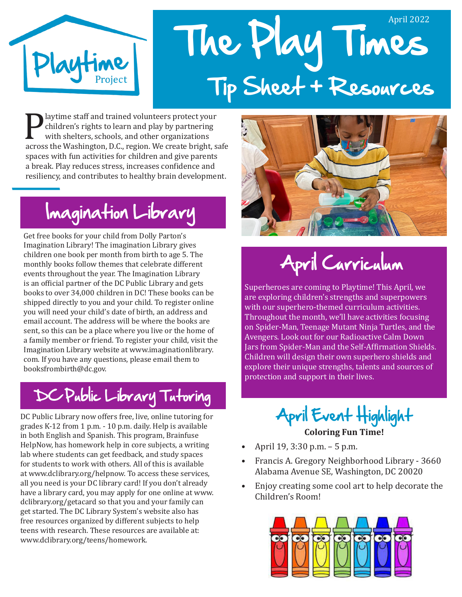

# The Play Times April 2022 Tip Sheet + Resources

**Playtime staff and trained volunteers protect your**<br>
children's rights to learn and play by partnering<br>
with shelters, schools, and other organizations<br>
across the Washington, D.C., region. We create bright, safe<br>
among w children's rights to learn and play by partnering with shelters, schools, and other organizations spaces with fun activities for children and give parents a break. Play reduces stress, increases confidence and resiliency, and contributes to healthy brain development.

# Imagination Library

Get free books for your child from Dolly Parton's Imagination Library! The imagination Library gives children one book per month from birth to age 5. The monthly books follow themes that celebrate different events throughout the year. The Imagination Library is an official partner of the DC Public Library and gets books to over 34,000 children in DC! These books can be shipped directly to you and your child. To register online you will need your child's date of birth, an address and email account. The address will be where the books are sent, so this can be a place where you live or the home of a family member or friend. To register your child, visit the Imagination Library website at www.imaginationlibrary. com. If you have any questions, please email them to booksfrombirth@dc.gov.

### DC Public Library Tutoring

DC Public Library now offers free, live, online tutoring for grades K-12 from 1 p.m. - 10 p.m. daily. Help is available in both English and Spanish. This program, Brainfuse HelpNow, has homework help in core subjects, a writing lab where students can get feedback, and study spaces for students to work with others. All of this is available at www.dclibrary.org/helpnow. To access these services, all you need is your DC library card! If you don't already have a library card, you may apply for one online at www. dclibrary.org/getacard so that you and your family can get started. The DC Library System's website also has free resources organized by different subjects to help teens with research. These resources are available at: www.dclibrary.org/teens/homework.



April Curriculum

Superheroes are coming to Playtime! This April, we are exploring children's strengths and superpowers with our superhero-themed curriculum activities. Throughout the month, we'll have activities focusing on Spider-Man, Teenage Mutant Ninja Turtles, and the Avengers. Look out for our Radioactive Calm Down Jars from Spider-Man and the Self-Affirmation Shields. Children will design their own superhero shields and explore their unique strengths, talents and sources of protection and support in their lives.

> April Event Highlight **Coloring Fun Time!**

- April 19, 3:30 p.m. 5 p.m.
- Francis A. Gregory Neighborhood Library 3660 Alabama Avenue SE, Washington, DC 20020
- Enjoy creating some cool art to help decorate the Children's Room!